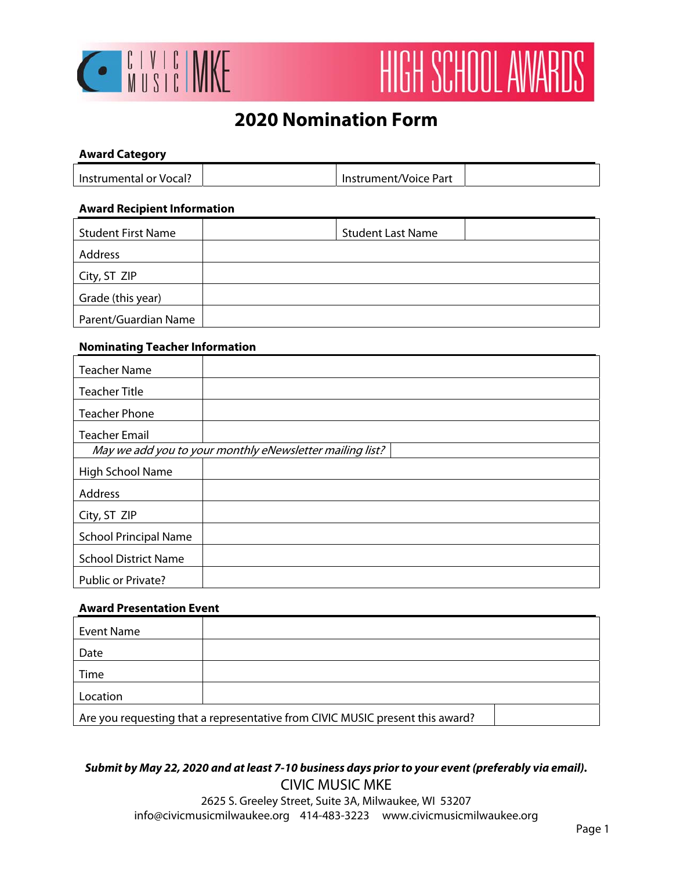

# HIGH SCHOOL AWARDS

## **2020 Nomination Form**

## **Award Category**

| lnstrumental or Vocal? | Instrument/Voice Part |  |
|------------------------|-----------------------|--|
|                        |                       |  |

#### **Award Recipient Information**

| <b>Student First Name</b> | <b>Student Last Name</b> |
|---------------------------|--------------------------|
| Address                   |                          |
| City, ST ZIP              |                          |
| Grade (this year)         |                          |
| Parent/Guardian Name      |                          |

#### **Nominating Teacher Information**

| <b>Teacher Name</b>                                      |  |  |
|----------------------------------------------------------|--|--|
| <b>Teacher Title</b>                                     |  |  |
| <b>Teacher Phone</b>                                     |  |  |
| <b>Teacher Email</b>                                     |  |  |
| May we add you to your monthly eNewsletter mailing list? |  |  |
| High School Name                                         |  |  |
| Address                                                  |  |  |
| City, ST ZIP                                             |  |  |
| <b>School Principal Name</b>                             |  |  |
| <b>School District Name</b>                              |  |  |
| Public or Private?                                       |  |  |

#### **Award Presentation Event**

| Event Name                                                                    |  |  |
|-------------------------------------------------------------------------------|--|--|
| Date                                                                          |  |  |
| Time                                                                          |  |  |
| Location                                                                      |  |  |
| Are you requesting that a representative from CIVIC MUSIC present this award? |  |  |

#### **Submit by May 22, 2020 and at least 7-10 business days prior to your event (preferably via email).**  CIVIC MUSIC MKE

2625 S. Greeley Street, Suite 3A, Milwaukee, WI 53207 info@civicmusicmilwaukee.org 414-483-3223 www.civicmusicmilwaukee.org